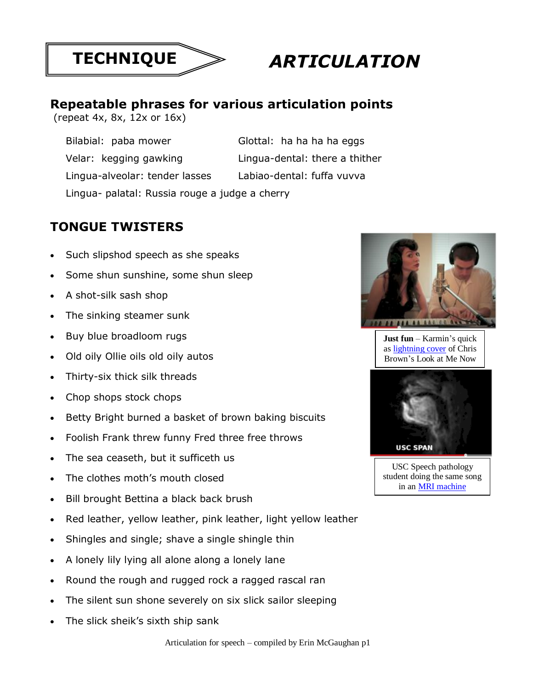

## *ARTICULATION*

## **Repeatable phrases for various articulation points**

(repeat 4x, 8x, 12x or 16x)

| Bilabial: paba mower                           | Glottal: ha ha ha ha eggs      |
|------------------------------------------------|--------------------------------|
| Velar: kegging gawking                         | Lingua-dental: there a thither |
| Lingua-alveolar: tender lasses                 | Labiao-dental: fuffa vuvva     |
| Lingua- palatal: Russia rouge a judge a cherry |                                |

## **TONGUE TWISTERS**

- Such slipshod speech as she speaks
- Some shun sunshine, some shun sleep
- A shot-silk sash shop
- The sinking steamer sunk
- Buy blue broadloom rugs
- Old oily Ollie oils old oily autos
- Thirty-six thick silk threads
- Chop shops stock chops
- Betty Bright burned a basket of brown baking biscuits
- Foolish Frank threw funny Fred three free throws
- The sea ceaseth, but it sufficeth us
- The clothes moth's mouth closed
- Bill brought Bettina a black back brush
- Red leather, yellow leather, pink leather, light yellow leather
- Shingles and single; shave a single shingle thin
- A lonely lily lying all alone along a lonely lane
- Round the rough and rugged rock a ragged rascal ran
- The silent sun shone severely on six slick sailor sleeping
- The slick sheik's sixth ship sank



**Just fun** – Karmin's quick as [lightning cover](https://www.youtube.com/watch?v=khCokQt--l4) of Chris Brown's Look at Me Now



USC Speech pathology student doing the same song in an [MRI machine](https://www.youtube.com/watch?v=_LGkbvkCS3I)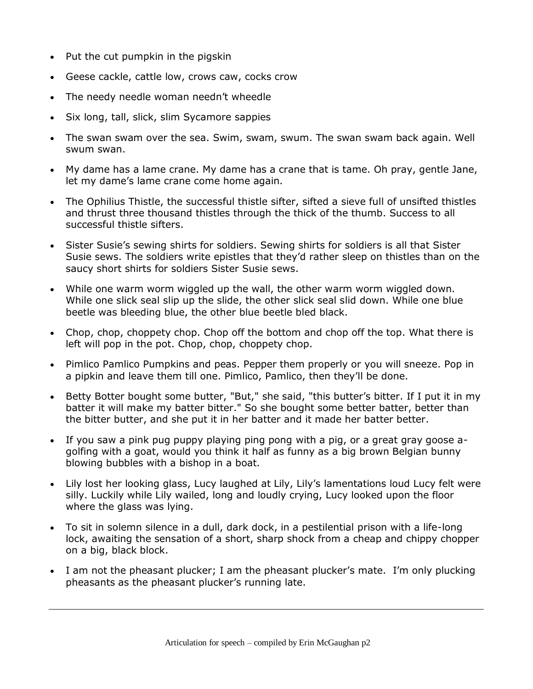- Put the cut pumpkin in the pigskin
- Geese cackle, cattle low, crows caw, cocks crow
- The needy needle woman needn't wheedle
- Six long, tall, slick, slim Sycamore sappies
- The swan swam over the sea. Swim, swam, swum. The swan swam back again. Well swum swan.
- My dame has a lame crane. My dame has a crane that is tame. Oh pray, gentle Jane, let my dame's lame crane come home again.
- The Ophilius Thistle, the successful thistle sifter, sifted a sieve full of unsifted thistles and thrust three thousand thistles through the thick of the thumb. Success to all successful thistle sifters.
- Sister Susie's sewing shirts for soldiers. Sewing shirts for soldiers is all that Sister Susie sews. The soldiers write epistles that they'd rather sleep on thistles than on the saucy short shirts for soldiers Sister Susie sews.
- While one warm worm wiggled up the wall, the other warm worm wiggled down. While one slick seal slip up the slide, the other slick seal slid down. While one blue beetle was bleeding blue, the other blue beetle bled black.
- Chop, chop, choppety chop. Chop off the bottom and chop off the top. What there is left will pop in the pot. Chop, chop, choppety chop.
- Pimlico Pamlico Pumpkins and peas. Pepper them properly or you will sneeze. Pop in a pipkin and leave them till one. Pimlico, Pamlico, then they'll be done.
- Betty Botter bought some butter, "But," she said, "this butter's bitter. If I put it in my batter it will make my batter bitter." So she bought some better batter, better than the bitter butter, and she put it in her batter and it made her batter better.
- If you saw a pink pug puppy playing ping pong with a pig, or a great gray goose agolfing with a goat, would you think it half as funny as a big brown Belgian bunny blowing bubbles with a bishop in a boat.
- Lily lost her looking glass, Lucy laughed at Lily, Lily's lamentations loud Lucy felt were silly. Luckily while Lily wailed, long and loudly crying, Lucy looked upon the floor where the glass was lying.
- To sit in solemn silence in a dull, dark dock, in a pestilential prison with a life-long lock, awaiting the sensation of a short, sharp shock from a cheap and chippy chopper on a big, black block.
- I am not the pheasant plucker; I am the pheasant plucker's mate. I'm only plucking pheasants as the pheasant plucker's running late.